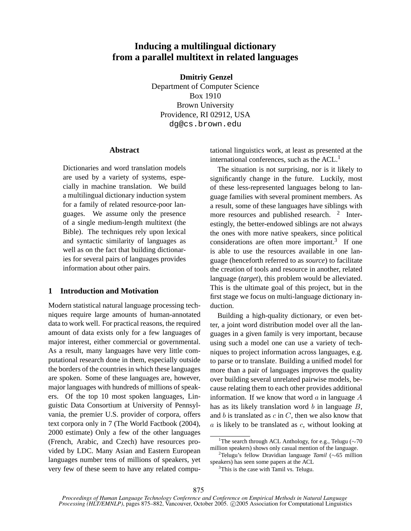# **Inducing a multilingual dictionary from a parallel multitext in related languages**

**Dmitriy Genzel**

Department of Computer Science Box 1910 Brown University Providence, RI 02912, USA dg@cs.brown.edu

#### **Abstract**

Dictionaries and word translation models are used by a variety of systems, especially in machine translation. We build a multilingual dictionary induction system for a family of related resource-poor languages. We assume only the presence of a single medium-length multitext (the Bible). The techniques rely upon lexical and syntactic similarity of languages as well as on the fact that building dictionaries for several pairs of languages provides information about other pairs.

# **1 Introduction and Motivation**

Modern statistical natural language processing techniques require large amounts of human-annotated data to work well. For practical reasons, the required amount of data exists only for a few languages of major interest, either commercial or governmental. As a result, many languages have very little computational research done in them, especially outside the borders of the countries in which these languages are spoken. Some of these languages are, however, major languages with hundreds of millions of speakers. Of the top 10 most spoken languages, Linguistic Data Consortium at University of Pennsylvania, the premier U.S. provider of corpora, offers text corpora only in 7 (The World Factbook (2004), 2000 estimate) Only a few of the other languages (French, Arabic, and Czech) have resources provided by LDC. Many Asian and Eastern European languages number tens of millions of speakers, yet very few of these seem to have any related computational linguistics work, at least as presented at the international conferences, such as the ACL.<sup>1</sup>

The situation is not surprising, nor is it likely to significantly change in the future. Luckily, most of these less-represented languages belong to language families with several prominent members. As a result, some of these languages have siblings with more resources and published research. <sup>2</sup> Interestingly, the better-endowed siblings are not always the ones with more native speakers, since political considerations are often more important. $3$  If one is able to use the resources available in one language (henceforth referred to as *source*) to facilitate the creation of tools and resource in another, related language (*target*), this problem would be alleviated. This is the ultimate goal of this project, but in the first stage we focus on multi-language dictionary induction.

Building a high-quality dictionary, or even better, a joint word distribution model over all the languages in a given family is very important, because using such a model one can use a variety of techniques to project information across languages, e.g. to parse or to translate. Building a unified model for more than a pair of languages improves the quality over building several unrelated pairwise models, because relating them to each other provides additional information. If we know that word  $\alpha$  in language  $\ddot{A}$ has as its likely translation word  $b$  in language  $B$ , and  $b$  is translated as  $c$  in  $C$ , then we also know that  $a$  is likely to be translated as  $c$ , without looking at

<sup>&</sup>lt;sup>1</sup>The search through ACL Anthology, for e.g., Telugu ( $\sim$ 70 million speakers) shows only casual mention of the language.

<sup>2</sup>Telugu's fellow Dravidian language *Tamil* (∼65 million speakers) has seen some papers at the ACL

<sup>&</sup>lt;sup>3</sup>This is the case with Tamil vs. Telugu.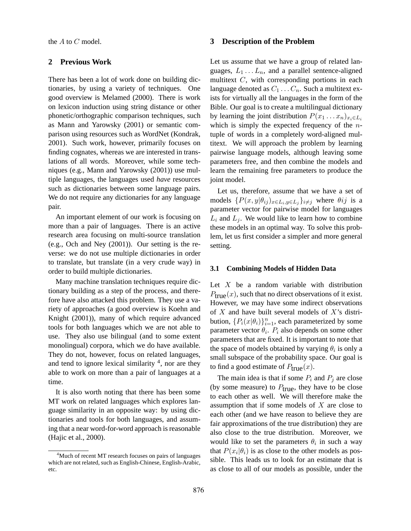the A to C model.

#### **2 Previous Work**

There has been a lot of work done on building dictionaries, by using a variety of techniques. One good overview is Melamed (2000). There is work on lexicon induction using string distance or other phonetic/orthographic comparison techniques, such as Mann and Yarowsky (2001) or semantic comparison using resources such as WordNet (Kondrak, 2001). Such work, however, primarily focuses on finding cognates, whereas we are interested in translations of all words. Moreover, while some techniques (e.g., Mann and Yarowsky (2001)) use multiple languages, the languages used *have* resources such as dictionaries between some language pairs. We do not require any dictionaries for any language pair.

An important element of our work is focusing on more than a pair of languages. There is an active research area focusing on multi-source translation (e.g., Och and Ney (2001)). Our setting is the reverse: we do not use multiple dictionaries in order to translate, but translate (in a very crude way) in order to build multiple dictionaries.

Many machine translation techniques require dictionary building as a step of the process, and therefore have also attacked this problem. They use a variety of approaches (a good overview is Koehn and Knight (2001)), many of which require advanced tools for both languages which we are not able to use. They also use bilingual (and to some extent monolingual) corpora, which we do have available. They do not, however, focus on related languages, and tend to ignore lexical similarity  $4$ , nor are they able to work on more than a pair of languages at a time.

It is also worth noting that there has been some MT work on related languages which explores language similarity in an opposite way: by using dictionaries and tools for both languages, and assuming that a near word-for-word approach is reasonable (Hajic et al., 2000).

#### **3 Description of the Problem**

Let us assume that we have a group of related languages,  $L_1 \ldots L_n$ , and a parallel sentence-aligned multitext C, with corresponding portions in each language denoted as  $C_1 \ldots C_n$ . Such a multitext exists for virtually all the languages in the form of the Bible. Our goal is to create a multilingual dictionary by learning the joint distribution  $P(x_1 \ldots x_n)_{x_i \in L_i}$ which is simply the expected frequency of the  $n$ tuple of words in a completely word-aligned multitext. We will approach the problem by learning pairwise language models, although leaving some parameters free, and then combine the models and learn the remaining free parameters to produce the joint model.

Let us, therefore, assume that we have a set of models  $\{P(x,y|\theta_{ij})_{x\in L_i,y\in L_j}\}_{i\neq j}$  where  $\theta_{ij}$  is a parameter vector for pairwise model for languages  $L_i$  and  $L_j$ . We would like to learn how to combine these models in an optimal way. To solve this problem, let us first consider a simpler and more general setting.

#### **3.1 Combining Models of Hidden Data**

Let  $X$  be a random variable with distribution  $P_{true}(x)$ , such that no direct observations of it exist. However, we may have some indirect observations of  $X$  and have built several models of  $X$ 's distribution,  $\{P_i(x|\theta_i)\}_{i=1}^n$ , each parameterized by some parameter vector  $\theta_i$ .  $P_i$  also depends on some other parameters that are fixed. It is important to note that the space of models obtained by varying  $\theta_i$  is only a small subspace of the probability space. Our goal is to find a good estimate of  $P_{true}(x)$ .

The main idea is that if some  $P_i$  and  $P_j$  are close (by some measure) to  $P_{true}$ , they have to be close to each other as well. We will therefore make the assumption that if some models of  $X$  are close to each other (and we have reason to believe they are fair approximations of the true distribution) they are also close to the true distribution. Moreover, we would like to set the parameters  $\theta_i$  in such a way that  $P(x_i|\theta_i)$  is as close to the other models as possible. This leads us to look for an estimate that is as close to all of our models as possible, under the

<sup>&</sup>lt;sup>4</sup>Much of recent MT research focuses on pairs of languages which are not related, such as English-Chinese, English-Arabic, etc.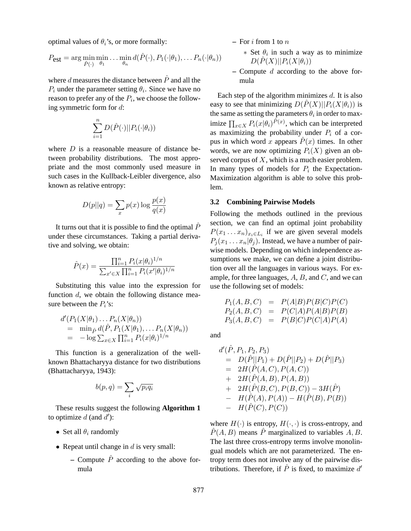optimal values of  $\theta_i$ 's, or more formally:

$$
P_{\text{est}} = \arg\min_{\hat{P}(\cdot)} \min_{\theta_1} \dots \min_{\theta_n} d(\hat{P}(\cdot), P_1(\cdot | \theta_1), \dots P_n(\cdot | \theta_n))
$$

where d measures the distance between  $\hat{P}$  and all the  $P_i$  under the parameter setting  $\theta_i$ . Since we have no reason to prefer any of the  $P_i$ , we choose the following symmetric form for d:

$$
\sum_{i=1}^{n} D(\hat{P}(\cdot)||P_i(\cdot|\theta_i))
$$

where  $D$  is a reasonable measure of distance between probability distributions. The most appropriate and the most commonly used measure in such cases in the Kullback-Leibler divergence, also known as relative entropy:

$$
D(p||q) = \sum_{x} p(x) \log \frac{p(x)}{q(x)}
$$

It turns out that it is possible to find the optimal  $P$ under these circumstances. Taking a partial derivative and solving, we obtain:

$$
\hat{P}(x) = \frac{\prod_{i=1}^{n} P_i(x|\theta_i)^{1/n}}{\sum_{x' \in X} \prod_{i=1}^{n} P_i(x'|\theta_i)^{1/n}}
$$

Substituting this value into the expression for function d, we obtain the following distance measure between the  $P_i$ 's:

$$
d'(P_1(X|\theta_1)\dots P_n(X|\theta_n))
$$
  
=  $\min_{\hat{P}} d(\hat{P}, P_1(X|\theta_1), \dots P_n(X|\theta_n))$   
=  $-\log \sum_{x \in X} \prod_{i=1}^n P_i(x|\theta_i)^{1/n}$ 

This function is a generalization of the wellknown Bhattacharyya distance for two distributions (Bhattacharyya, 1943):

$$
b(p,q) = \sum_{i} \sqrt{p_i q_i}
$$

These results suggest the following **Algorithm 1** to optimize  $d$  (and  $d'$ ):

- Set all  $\theta_i$  randomly
- Repeat until change in  $d$  is very small:
	- $\overrightarrow{P}$  according to the above formula

**–** For i from 1 to n

- $*$  Set  $\theta_i$  in such a way as to minimize  $D(\hat{P}(X)||P_i(X|\theta_i))$
- **–** Compute d according to the above formula

Each step of the algorithm minimizes  $d$ . It is also easy to see that minimizing  $D(\hat{P}(X)||P_i(X|\theta_i))$  is the same as setting the parameters  $\theta_i$  in order to maximize  $\prod_{x \in X} P_i(x|\theta_i)^{\hat{P}(x)}$ , which can be interpreted as maximizing the probability under  $P_i$  of a corpus in which word x appears  $\hat{P}(x)$  times. In other words, we are now optimizing  $P_i(X)$  given an observed corpus of  $X$ , which is a much easier problem. In many types of models for  $P_i$  the Expectation-Maximization algorithm is able to solve this problem.

## **3.2 Combining Pairwise Models**

Following the methods outlined in the previous section, we can find an optimal joint probability  $P(x_1 \ldots x_n)_{x_i \in L_i}$  if we are given several models  $P_i(x_1 \ldots x_n | \theta_i)$ . Instead, we have a number of pairwise models. Depending on which independence assumptions we make, we can define a joint distribution over all the languages in various ways. For example, for three languages,  $A$ ,  $B$ , and  $C$ , and we can use the following set of models:

$$
P_1(A, B, C) = P(A|B)P(B|C)P(C)
$$
  
\n
$$
P_2(A, B, C) = P(C|A)P(A|B)P(B)
$$
  
\n
$$
P_3(A, B, C) = P(B|C)P(C|A)P(A)
$$

and

$$
d'(\hat{P}, P_1, P_2, P_3)
$$
  
=  $D(\hat{P}||P_1) + D(\hat{P}||P_2) + D(\hat{P}||P_3)$   
=  $2H(\hat{P}(A, C), P(A, C))$   
+  $2H(\hat{P}(A, B), P(A, B))$   
+  $2H(\hat{P}(B, C), P(B, C)) - 3H(\hat{P})$   
-  $H(\hat{P}(A), P(A)) - H(\hat{P}(B), P(B))$   
-  $H(\hat{P}(C), P(C))$ 

where  $H(\cdot)$  is entropy,  $H(\cdot, \cdot)$  is cross-entropy, and  $\hat{P}(A, B)$  means  $\hat{P}$  marginalized to variables  $A, B$ . The last three cross-entropy terms involve monolingual models which are not parameterized. The entropy term does not involve any of the pairwise distributions. Therefore, if  $\hat{P}$  is fixed, to maximize d'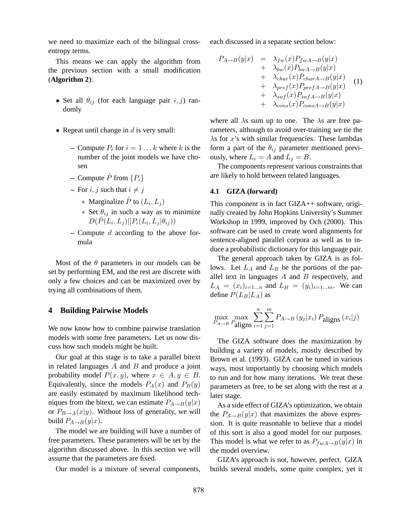we need to maximize each of the bilingual crossentropy terms.

This means we can apply the algorithm from the previous section with a small modification (**Algorithm 2**):

- Set all  $\theta_{ij}$  (for each language pair  $i, j$ ) randomly
- Repeat until change in  $d$  is very small:
	- **–** Compute  $P_i$  for  $i = 1...k$  where k is the number of the joint models we have chosen
	- $-$  Compute  $\hat{P}$  from  $\{P_i\}$
	- **–** For *i*, *j* such that  $i \neq j$ 
		- ∗ Marginalize  $\hat{P}$  to  $(L_i, L_j)$
		- ∗ Set  $\theta_{ij}$  in such a way as to minimize  $D(\hat{P(L_i,L_j)} || P_i(L_i,L_j | \theta_{ij}))$
	- **–** Compute d according to the above formula

Most of the  $\theta$  parameters in our models can be set by performing EM, and the rest are discrete with only a few choices and can be maximized over by trying all combinations of them.

#### **4 Building Pairwise Models**

We now know how to combine pairwise translation models with some free parameters. Let us now discuss how such models might be built.

Our goal at this stage is to take a parallel bitext in related languages  $A$  and  $B$  and produce a joint probability model  $P(x, y)$ , where  $x \in A, y \in B$ . Equivalently, since the models  $P_A(x)$  and  $P_B(y)$ are easily estimated by maximum likelihood techniques from the bitext, we can estimate  $P_{A\rightarrow B}(y|x)$ or  $P_{B\to A}(x|y)$ . Without loss of generality, we will build  $P_{A\rightarrow B}(y|x)$ .

The model we are building will have a number of free parameters. These parameters will be set by the algorithm discussed above. In this section we will assume that the parameters are fixed.

Our model is a mixture of several components,

each discussed in a separate section below:

$$
P_{A\rightarrow B}(y|x) = \lambda_{fw}(x)P_{fwA\rightarrow B}(y|x)
$$
  
+  $\lambda_{bw}(x)P_{bwA\rightarrow B}(y|x)$   
+  $\lambda_{char}(x)P_{charA\rightarrow B}(y|x)$   
+  $\lambda_{pref}(x)P_{prefA\rightarrow B}(y|x)$   
+  $\lambda_{suf}(x)P_{svfA\rightarrow B}(y|x)$   
+  $\lambda_{cons}(x)P_{consA\rightarrow B}(y|x)$ 

where all  $\lambda$ s sum up to one. The  $\lambda$ s are free parameters, although to avoid over-training we tie the  $\lambda$ s for x's with similar frequencies. These lambdas form a part of the  $\theta_{ij}$  parameter mentioned previously, where  $L_i = A$  and  $L_j = B$ .

The components represent various constraints that are likely to hold between related languages.

#### **4.1 GIZA (forward)**

This component is in fact GIZA++ software, originally created by John Hopkins University's Summer Workshop in 1999, improved by Och (2000). This software can be used to create word alignments for sentence-aligned parallel corpora as well as to induce a probabilistic dictionary for this language pair.

The general approach taken by GIZA is as follows. Let  $L_A$  and  $L_B$  be the portions of the parallel text in languages  $A$  and  $B$  respectively, and  $L_A = (x_i)_{i=1...n}$  and  $L_B = (y_i)_{i=1...m}$ . We can define  $P(L_B|L_A)$  as

$$
\max_{P_{A\rightarrow B}}\max_{P_{\text{aligns}}} \sum_{i=1}^{n}\sum_{j=1}^{m} P_{A\rightarrow B}\left(y_{j}|x_{i}\right)P_{\text{aligns}}\left(x_{i}|j\right)
$$

The GIZA software does the maximization by building a variety of models, mostly described by Brown et al. (1993). GIZA can be tuned in various ways, most importantly by choosing which models to run and for how many iterations. We treat these parameters as free, to be set along with the rest at a later stage.

As a side effect of GIZA's optimization, we obtain the  $P_{A\rightarrow B}(y|x)$  that maximizes the above expression. It is quite reasonable to believe that a model of this sort is also a good model for our purposes. This model is what we refer to as  $P_{fwA\rightarrow B}(y|x)$  in the model overview.

GIZA's approach is not, however, perfect. GIZA builds several models, some quite complex, yet it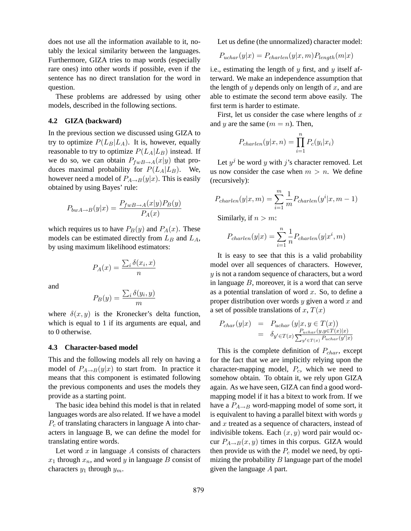does not use all the information available to it, notably the lexical similarity between the languages. Furthermore, GIZA tries to map words (especially rare ones) into other words if possible, even if the sentence has no direct translation for the word in question.

These problems are addressed by using other models, described in the following sections.

## **4.2 GIZA (backward)**

In the previous section we discussed using GIZA to try to optimize  $P(L_B|L_A)$ . It is, however, equally reasonable to try to optimize  $P(L_A|L_B)$  instead. If we do so, we can obtain  $P_{fwB\rightarrow A}(x|y)$  that produces maximal probability for  $P(L_A|L_B)$ . We, however need a model of  $P_{A\rightarrow B}(y|x)$ . This is easily obtained by using Bayes' rule:

$$
P_{bwA \to B}(y|x) = \frac{P_{fwB \to A}(x|y)P_B(y)}{P_A(x)}
$$

which requires us to have  $P_B(y)$  and  $P_A(x)$ . These models can be estimated directly from  $L_B$  and  $L_A$ , by using maximum likelihood estimators:

$$
P_A(x) = \frac{\sum_i \delta(x_i, x)}{n}
$$

and

$$
P_B(y) = \frac{\sum_i \delta(y_i, y)}{m}
$$

where  $\delta(x, y)$  is the Kronecker's delta function, which is equal to 1 if its arguments are equal, and to 0 otherwise.

#### **4.3 Character-based model**

This and the following models all rely on having a model of  $P_{A\rightarrow B}(y|x)$  to start from. In practice it means that this component is estimated following the previous components and uses the models they provide as a starting point.

The basic idea behind this model is that in related languages words are also related. If we have a model  $P_c$  of translating characters in language A into characters in language B, we can define the model for translating entire words.

Let word  $x$  in language  $A$  consists of characters  $x_1$  through  $x_n$ , and word y in language B consist of characters  $y_1$  through  $y_m$ .

Let us define (the unnormalized) character model:

$$
P_{uchar}(y|x) = P_{charlen}(y|x, m)P_{length}(m|x)
$$

i.e., estimating the length of  $y$  first, and  $y$  itself afterward. We make an independence assumption that the length of  $y$  depends only on length of  $x$ , and are able to estimate the second term above easily. The first term is harder to estimate.

First, let us consider the case where lengths of  $x$ and y are the same  $(m = n)$ . Then,

$$
P_{charlen}(y|x, n) = \prod_{i=1}^{n} P_c(y_i|x_i)
$$

Let  $y^j$  be word y with j's character removed. Let us now consider the case when  $m > n$ . We define (recursively):

$$
P_{charlen}(y|x,m) = \sum_{i=1}^{m} \frac{1}{m} P_{charlen}(y^i|x,m-1)
$$

Similarly, if  $n > m$ :

$$
P_{charlen}(y|x) = \sum_{i=1}^{n} \frac{1}{n} P_{charlen}(y|x^i, m)
$$

It is easy to see that this is a valid probability model over all sequences of characters. However,  $y$  is not a random sequence of characters, but a word in language  $B$ , moreover, it is a word that can serve as a potential translation of word  $x$ . So, to define a proper distribution over words  $y$  given a word  $x$  and a set of possible translations of x,  $T(x)$ 

$$
P_{char}(y|x) = P_{uchar}(y|x, y \in T(x))
$$
  
= 
$$
\delta_{y' \in T(x)} \frac{P_{uchar}(y, y \in T(x)|x)}{\sum_{y' \in T(x)} P_{uchar}(y'|x)}
$$

This is the complete definition of  $P_{char}$ , except for the fact that we are implicitly relying upon the character-mapping model,  $P_c$ , which we need to somehow obtain. To obtain it, we rely upon GIZA again. As we have seen, GIZA can find a good wordmapping model if it has a bitext to work from. If we have a  $P_{A\rightarrow B}$  word-mapping model of some sort, it is equivalent to having a parallel bitext with words  $y$ and  $x$  treated as a sequence of characters, instead of indivisible tokens. Each  $(x, y)$  word pair would occur  $P_{A\rightarrow B}(x, y)$  times in this corpus. GIZA would then provide us with the  $P_c$  model we need, by optimizing the probability  $B$  language part of the model given the language A part.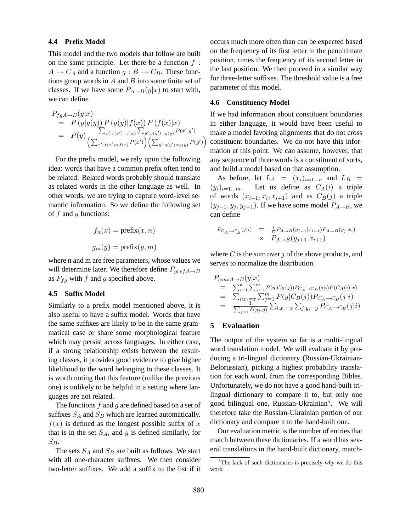#### **4.4 Prefix Model**

This model and the two models that follow are built on the same principle. Let there be a function  $f$ :  $A \rightarrow C_A$  and a function  $g : B \rightarrow C_B$ . These functions group words in  $A$  and  $B$  into some finite set of classes. If we have some  $P_{A\rightarrow B}(y|x)$  to start with, we can define

$$
P_{fgA \to B}(y|x)
$$
  
=  $P(y|g(y)) P(g(y)|f(x)) P(f(x)|x)$   
=  $P(y) \frac{\sum_{x':f(x')=f(x)} \sum_{y':g(y')=g(y)} P(x',y')}{\left(\sum_{x':f(x')=f(x)} P(x')\right)\left(\sum_{y':g(y')=g(y)} P(y')\right)}$ 

For the prefix model, we rely upon the following idea: words that have a common prefix often tend to be related. Related words probably should translate as related words in the other language as well. In other words, we are trying to capture word-level semantic information. So we define the following set of  $f$  and  $g$  functions:

$$
f_n(x) = \text{prefix}(x, n)
$$

$$
g_m(y) = \text{prefix}(y, m)
$$

where n and m are free parameters, whose values we will determine later. We therefore define  $P_{prefA\rightarrow B}$ as  $P_{fg}$  with f and g specified above.

#### **4.5 Suffix Model**

Similarly to a prefix model mentioned above, it is also useful to have a suffix model. Words that have the same suffixes are likely to be in the same grammatical case or share some morphological feature which may persist across languages. In either case, if a strong relationship exists between the resulting classes, it provides good evidence to give higher likelihood to the word belonging to these classes. It is worth noting that this feature (unlike the previous one) is unlikely to be helpful in a setting where languages are not related.

The functions  $f$  and  $g$  are defined based on a set of suffixes  $S_A$  and  $S_B$  which are learned automatically.  $f(x)$  is defined as the longest possible suffix of x that is in the set  $S_A$ , and g is defined similarly, for  $S_B$ .

The sets  $S_A$  and  $S_B$  are built as follows. We start with all one-character suffixes. We then consider two-letter suffixes. We add a suffix to the list if it occurs much more often than can be expected based on the frequency of its first letter in the penultimate position, times the frequency of its second letter in the last position. We then proceed in a similar way for three-letter suffixes. The threshold value is a free parameter of this model.

## **4.6 Constituency Model**

 constituent boundaries. We do not have this infor-If we had information about constituent boundaries in either language, it would have been useful to make a model favoring alignments that do not cross mation at this point. We can assume, however, that any sequence of three words is a constituent of sorts, and build a model based on that assumption.

As before, let  $L_A = (x_i)_{i=1...n}$  and  $L_B =$  $(y_i)_{i=1...m}$ . Let us define as  $C_A(i)$  a triple of words  $(x_{i-1}, x_i, x_{i+1})$  and as  $C_B(j)$  a triple  $(y_{j-1}, y_j, y_{j+1})$ . If we have some model  $P_{A\rightarrow B}$ , we can define

$$
P_{C_A \to C_B}(j|i) = \frac{1}{C} P_{A \to B}(y_{j-1}|x_{i-1}) P_{A \to B}(y_j|x_i)
$$
  
 
$$
\times \quad P_{A \to B}(y_{j+1}|x_{i+1})
$$

where  $C$  is the sum over  $j$  of the above products, and serves to normalize the distribution.

$$
P_{cons A \to B}(y|x)
$$
  
=  $\sum_{i=1}^{n} \sum_{j=1}^{m} P(y|C_B(j)) P_{C_A \to C_B}(j|i) P(C_A(i)|x)$   
=  $\sum_{i:x_i=x} \sum_{j=1}^{m} P(y|C_B(j)) P_{C_A \to C_B}(j|i)$   
=  $\sum_{j=1}^{n} \delta(y_j, y) \sum_{i:x_i=x} \sum_{j:y_i=y} P_{C_A \to C_B}(j|i)$ 

## **5 Evaluation**

The output of the system so far is a multi-lingual word translation model. We will evaluate it by producing a tri-lingual dictionary (Russian-Ukrainian-Belorussian), picking a highest probability translation for each word, from the corresponding Bibles. Unfortunately, we do not have a good hand-built trilingual dictionary to compare it to, but only one good bilingual one, Russian-Ukrainian<sup>5</sup>. We will therefore take the Russian-Ukrainian portion of our dictionary and compare it to the hand-built one.

Our evaluation metric is the number of entries that match between these dictionaries. If a word has several translations in the hand-built dictionary, match-

<sup>5</sup>The lack of such dictionaries is precisely *why* we do this work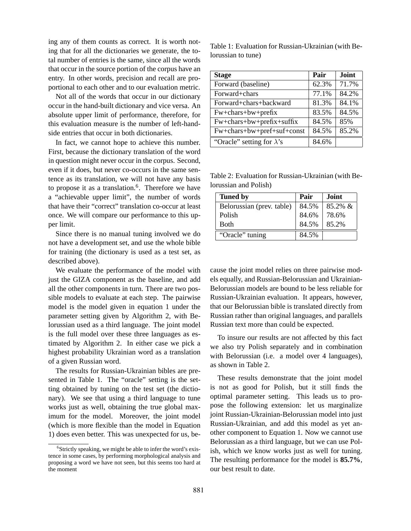ing any of them counts as correct. It is worth noting that for all the dictionaries we generate, the total number of entries is the same, since all the words that occur in the source portion of the corpus have an entry. In other words, precision and recall are proportional to each other and to our evaluation metric.

Not all of the words that occur in our dictionary occur in the hand-built dictionary and vice versa. An absolute upper limit of performance, therefore, for this evaluation measure is the number of left-handside entries that occur in both dictionaries.

In fact, we cannot hope to achieve this number. First, because the dictionary translation of the word in question might never occur in the corpus. Second, even if it does, but never co-occurs in the same sentence as its translation, we will not have any basis to propose it as a translation.<sup>6</sup>. Therefore we have a "achievable upper limit", the number of words that have their "correct" translation co-occur at least once. We will compare our performance to this upper limit.

Since there is no manual tuning involved we do not have a development set, and use the whole bible for training (the dictionary is used as a test set, as described above).

We evaluate the performance of the model with just the GIZA component as the baseline, and add all the other components in turn. There are two possible models to evaluate at each step. The pairwise model is the model given in equation 1 under the parameter setting given by Algorithm 2, with Belorussian used as a third language. The joint model is the full model over these three languages as estimated by Algorithm 2. In either case we pick a highest probability Ukrainian word as a translation of a given Russian word.

The results for Russian-Ukrainian bibles are presented in Table 1. The "oracle" setting is the setting obtained by tuning on the test set (the dictionary). We see that using a third language to tune works just as well, obtaining the true global maximum for the model. Moreover, the joint model (which is more flexible than the model in Equation 1) does even better. This was unexpected for us, beTable 1: Evaluation for Russian-Ukrainian (with Belorussian to tune)

| <b>Stage</b>                      | Pair  | Joint    |
|-----------------------------------|-------|----------|
| Forward (baseline)                | 62.3% | 71.7%    |
| Forward+chars                     | 77.1% | 84.2%    |
| Forward+chars+backward            | 81.3% | 84.1%    |
| Fw+chars+bw+prefix                | 83.5% | 84.5%    |
| Fw+chars+bw+prefix+suffix         | 84.5% | 85%      |
| Fw+chars+bw+pref+suf+const        | 84.5% | $85.2\%$ |
| "Oracle" setting for $\lambda$ 's | 84.6% |          |

Table 2: Evaluation for Russian-Ukrainian (with Belorussian and Polish)

| <b>Tuned by</b>           | Pair  | <b>Joint</b> |
|---------------------------|-------|--------------|
| Belorussian (prev. table) | 84.5% | $85.2\% \&$  |
| Polish                    | 84.6% | 78.6%        |
| Both                      | 84.5% | 85.2%        |
| "Oracle" tuning           | 84.5% |              |

cause the joint model relies on three pairwise models equally, and Russian-Belorussian and Ukrainian-Belorussian models are bound to be less reliable for Russian-Ukrainian evaluation. It appears, however, that our Belorussian bible is translated directly from Russian rather than original languages, and parallels Russian text more than could be expected.

To insure our results are not affected by this fact we also try Polish separately and in combination with Belorussian (i.e. a model over 4 languages), as shown in Table 2.

These results demonstrate that the joint model is not as good for Polish, but it still finds the optimal parameter setting. This leads us to propose the following extension: let us marginalize joint Russian-Ukrainian-Belorussian model into just Russian-Ukrainian, and add this model as yet another component to Equation 1. Now we cannot use Belorussian as a third language, but we can use Polish, which we know works just as well for tuning. The resulting performance for the model is **85.7%**, our best result to date.

<sup>&</sup>lt;sup>6</sup>Strictly speaking, we might be able to infer the word's existence in some cases, by performing morphological analysis and proposing a word we have not seen, but this seems too hard at the moment